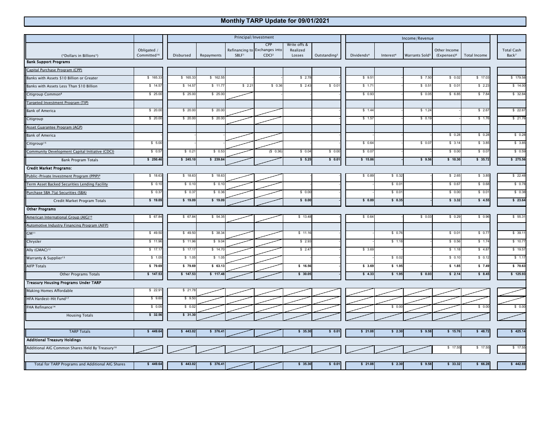## **Monthly TARP Update for 09/01/2021**

|                                                             |                                        | Principal/Investment |            |                   |                                                           |                                    |                          | Income/Revenue         |                       |                            |                                         |              |                                        |
|-------------------------------------------------------------|----------------------------------------|----------------------|------------|-------------------|-----------------------------------------------------------|------------------------------------|--------------------------|------------------------|-----------------------|----------------------------|-----------------------------------------|--------------|----------------------------------------|
|                                                             | Obligated /<br>Committed <sup>16</sup> | Disbursed            | Repayments | SBLF <sup>1</sup> | CPP<br>Refinancing to Exchanges into<br>CDCl <sup>2</sup> | Write offs &<br>Realized<br>Losses | Outstanding <sup>3</sup> | Dividends <sup>4</sup> | Interest <sup>4</sup> | Warrants Sold <sup>5</sup> | Other Income<br>(Expenses) <sup>6</sup> | Total Income | <b>Total Cash</b><br>Back <sup>7</sup> |
| (*Dollars in Billions*)<br><b>Bank Support Programs</b>     |                                        |                      |            |                   |                                                           |                                    |                          |                        |                       |                            |                                         |              |                                        |
| Capital Purchase Program (CPP)                              |                                        |                      |            |                   |                                                           |                                    |                          |                        |                       |                            |                                         |              |                                        |
| Banks with Assets \$10 Billion or Greater                   | \$165.33                               | \$165.3              | \$162.55   |                   |                                                           | \$2.78                             |                          | \$9.5                  |                       | \$7.50                     | \$0.02                                  | \$ 17.03     | \$179.58                               |
| Banks with Assets Less Than \$10 Billion                    | \$14.57                                | \$14.5               | \$ 11.7    | \$2.2             | \$0.36                                                    | \$2.43                             | \$0.01                   | \$ 1.7'                |                       | \$0.5                      | \$0.0                                   | \$2.23       | \$14.00                                |
| Citigroup Common <sup>8</sup>                               | \$25.00                                | \$25.00              | \$25.00    |                   |                                                           |                                    |                          | \$0.93                 |                       | \$0.0                      | \$6.85                                  | \$7.84       | \$32.84                                |
| Targeted Investment Program (TIP)                           |                                        |                      |            |                   |                                                           |                                    |                          |                        |                       |                            |                                         |              |                                        |
| <b>Bank of America</b>                                      | \$20.00                                | \$20.00              | \$20.0     |                   |                                                           |                                    |                          | \$1.44                 |                       | \$1.24                     |                                         | \$2.67       | \$22.67                                |
| Citigroup                                                   | \$20.00                                | \$20.00              | \$20.0     |                   |                                                           |                                    |                          | \$1.57                 |                       | \$0.1                      |                                         | \$1.76       | \$21.76                                |
| Asset Guarantee Program (AGP)                               |                                        |                      |            |                   |                                                           |                                    |                          |                        |                       |                            |                                         |              |                                        |
| <b>Bank of America</b>                                      |                                        |                      |            |                   |                                                           |                                    |                          |                        |                       |                            | \$0.28                                  | \$0.28       | \$0.28                                 |
| Citigroup <sup>15</sup>                                     | \$5.00                                 |                      |            |                   |                                                           |                                    |                          | \$0.64                 |                       | \$0.07                     | \$3.14                                  | \$3.85       | \$3.85                                 |
| Community Development Capital Initiative (CDCI)             | \$0.57                                 | $$0.2^{\circ}$       | \$0.53     |                   | (\$0.36                                                   | \$0.04                             | \$0.00                   | \$0.07                 |                       |                            | \$0.00                                  | \$0.07       | \$0.59                                 |
| Bank Program Totals                                         | \$250.46                               | \$245.10             | \$239.8    |                   |                                                           | \$5.25                             | \$0.01                   | \$15.86                |                       | \$9.56                     | \$10.30                                 | \$35.72      | \$275.56                               |
| <b>Credit Market Programs:</b>                              |                                        |                      |            |                   |                                                           |                                    |                          |                        |                       |                            |                                         |              |                                        |
| Public-Private Investment Program (PPIP) <sup>9</sup>       | \$18.63                                | \$18.63              | \$18.6     |                   |                                                           |                                    |                          | \$0.89                 | \$0.32                |                            | \$2.65                                  | \$3.85       | \$22.48                                |
| Term Asset Backed Securities Lending Facility               | \$0.10                                 | \$0.10               | \$ 0.10    |                   |                                                           |                                    |                          |                        | \$0.01                |                            | \$0.67                                  | \$ 0.68      | \$0.78                                 |
| Purchase SBA 7(a) Securities (SBA)                          | \$0.37                                 | \$0.3                | \$0.36     |                   |                                                           | \$0.00                             |                          |                        | \$0.01                |                            | \$0.00                                  | \$0.01       | \$0.38                                 |
| Credit Market Program Totals                                | \$19.09                                | \$19.09              | \$ 19.09   |                   |                                                           | \$0.00                             |                          | \$0.89                 | \$0.35                |                            | \$3.32                                  | \$4.55       | \$23.64                                |
| <b>Other Programs</b>                                       |                                        |                      |            |                   |                                                           |                                    |                          |                        |                       |                            |                                         |              |                                        |
| American International Group (AIG) <sup>10</sup>            | \$67.84                                | \$67.84              | \$54.3     |                   |                                                           | \$13.48                            |                          | \$0.64                 |                       | \$0.03                     | \$0.29                                  | \$0.96       | \$55.31                                |
| <b>Automotive Industry Financing Program (AIFP)</b>         |                                        |                      |            |                   |                                                           |                                    |                          |                        |                       |                            |                                         |              |                                        |
| GM <sup>11</sup>                                            | \$49.50                                | \$49.50              | \$38.34    |                   |                                                           | \$11.16                            |                          |                        | \$0.76                |                            | \$0.01                                  | \$0.77       | \$39.11                                |
| Chrysler                                                    | \$11.96                                | \$11.96              | \$9.04     |                   |                                                           | \$2.93                             |                          |                        | \$1.18                |                            | \$0.56                                  | \$1.74       | \$10.77                                |
| Ally (GMAC) <sup>12</sup>                                   | \$17.17                                | \$17.1               | \$14.7     |                   |                                                           | \$2.47                             |                          | \$3.69                 |                       |                            | \$1.18                                  | \$4.87       | \$19.57                                |
| Warranty & Supplier <sup>13</sup>                           | \$1.05                                 | \$ 1.05              | \$ 1.05    |                   |                                                           |                                    |                          |                        | \$0.02                |                            | \$0.10                                  | \$0.12       | \$1.17                                 |
| <b>AIFP Totals</b>                                          | \$79.69                                | \$79.69              | \$63.1     |                   |                                                           | \$16.56                            |                          | \$3.69                 | \$1.95                |                            | \$ 1.85                                 | \$7.49       | \$70.63                                |
| Other Programs Totals                                       | \$147.53                               | \$147.53             | \$117.48   |                   |                                                           | \$30.05                            |                          | \$4.33                 | \$1.95                | \$0.03                     | \$2.14                                  | \$8.45       | \$125.93                               |
| <b>Treasury Housing Programs Under TARP</b>                 |                                        |                      |            |                   |                                                           |                                    |                          |                        |                       |                            |                                         |              |                                        |
| Making Homes Affordable                                     | \$22.91                                | \$21.7               |            |                   |                                                           |                                    |                          |                        |                       |                            |                                         |              |                                        |
| HFA Hardest-Hit Fund <sup>17</sup>                          | \$9.60                                 | \$9.50               |            |                   |                                                           |                                    |                          |                        |                       |                            |                                         |              |                                        |
| FHA Refinance <sup>14</sup>                                 | \$0.05                                 | \$0.0                |            |                   |                                                           |                                    |                          |                        | \$0.00                |                            |                                         | \$0.00       | \$0.00                                 |
| <b>Housing Totals</b>                                       | \$32.56                                | \$31.30              |            |                   |                                                           |                                    |                          |                        |                       |                            |                                         |              |                                        |
|                                                             |                                        |                      |            |                   |                                                           |                                    |                          |                        |                       |                            |                                         |              |                                        |
| <b>TARP Totals</b>                                          | \$449.64                               | \$443.02             | \$376.41   |                   |                                                           | \$35.30                            | \$0.01                   | \$21.08                | \$2.30                | \$9.58                     | \$ 15.76                                | \$48.72      | \$425.14                               |
| <b>Additional Treasury Holdings</b>                         |                                        |                      |            |                   |                                                           |                                    |                          |                        |                       |                            |                                         |              |                                        |
| Additional AIG Common Shares Held By Treasury <sup>10</sup> |                                        |                      |            |                   |                                                           |                                    |                          |                        |                       |                            | \$17.55                                 | \$17.55      | \$17.55                                |
| Total for TARP Programs and Additional AIG Shares           | \$449.64                               | \$443.02             | \$376.41   |                   |                                                           | \$35.30                            | \$0.01                   | \$21.08                | \$2.30                | \$9.58                     | \$33.32                                 | \$66.28      | \$442.69                               |
|                                                             |                                        |                      |            |                   |                                                           |                                    |                          |                        |                       |                            |                                         |              |                                        |